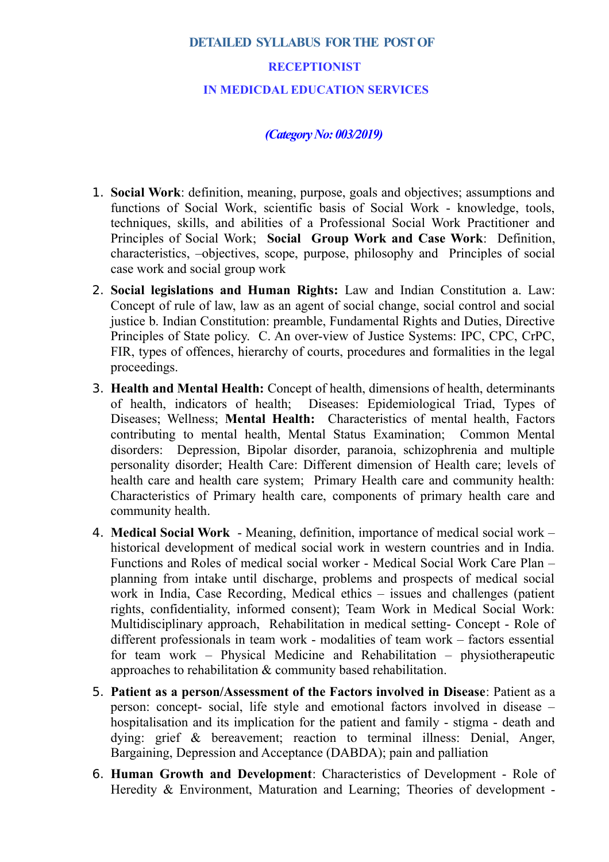## **DETAILED SYLLABUS FOR THE POST OF**

## **RECEPTIONIST**

## **IN MEDICDAL EDUCATION SERVICES**

## *(Category No: 003/2019)*

- 1. **Social Work**: definition, meaning, purpose, goals and objectives; assumptions and functions of Social Work, scientific basis of Social Work - knowledge, tools, techniques, skills, and abilities of a Professional Social Work Practitioner and Principles of Social Work; **Social Group Work and Case Work**: Definition, characteristics, –objectives, scope, purpose, philosophy and Principles of social case work and social group work
- 2. **Social legislations and Human Rights:** Law and Indian Constitution a. Law: Concept of rule of law, law as an agent of social change, social control and social justice b. Indian Constitution: preamble, Fundamental Rights and Duties, Directive Principles of State policy. C. An over-view of Justice Systems: IPC, CPC, CrPC, FIR, types of offences, hierarchy of courts, procedures and formalities in the legal proceedings.
- 3. **Health and Mental Health:** Concept of health, dimensions of health, determinants of health, indicators of health; Diseases: Epidemiological Triad, Types of Diseases; Wellness; **Mental Health:** Characteristics of mental health, Factors contributing to mental health, Mental Status Examination; Common Mental disorders: Depression, Bipolar disorder, paranoia, schizophrenia and multiple personality disorder; Health Care: Different dimension of Health care; levels of health care and health care system; Primary Health care and community health: Characteristics of Primary health care, components of primary health care and community health.
- 4. **Medical Social Work** Meaning, definition, importance of medical social work historical development of medical social work in western countries and in India. Functions and Roles of medical social worker - Medical Social Work Care Plan – planning from intake until discharge, problems and prospects of medical social work in India, Case Recording, Medical ethics – issues and challenges (patient rights, confidentiality, informed consent); Team Work in Medical Social Work: Multidisciplinary approach, Rehabilitation in medical setting- Concept - Role of different professionals in team work - modalities of team work – factors essential for team work – Physical Medicine and Rehabilitation – physiotherapeutic approaches to rehabilitation & community based rehabilitation.
- 5. **Patient as a person/Assessment of the Factors involved in Disease**: Patient as a person: concept- social, life style and emotional factors involved in disease – hospitalisation and its implication for the patient and family - stigma - death and dying: grief & bereavement; reaction to terminal illness: Denial, Anger, Bargaining, Depression and Acceptance (DABDA); pain and palliation
- 6. **Human Growth and Development**: Characteristics of Development Role of Heredity & Environment, Maturation and Learning; Theories of development -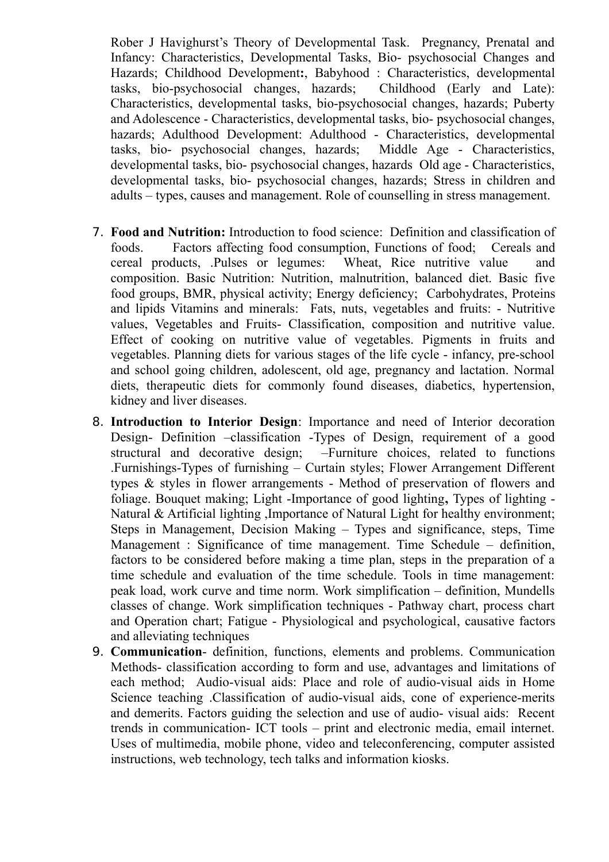Rober J Havighurst's Theory of Developmental Task. Pregnancy, Prenatal and Infancy: Characteristics, Developmental Tasks, Bio- psychosocial Changes and Hazards; Childhood Development**:**, Babyhood : Characteristics, developmental tasks, bio-psychosocial changes, hazards; Childhood (Early and Late): Characteristics, developmental tasks, bio-psychosocial changes, hazards; Puberty and Adolescence - Characteristics, developmental tasks, bio- psychosocial changes, hazards; Adulthood Development: Adulthood - Characteristics, developmental tasks, bio- psychosocial changes, hazards; Middle Age - Characteristics, developmental tasks, bio- psychosocial changes, hazards Old age - Characteristics, developmental tasks, bio- psychosocial changes, hazards; Stress in children and adults – types, causes and management. Role of counselling in stress management.

- 7. **Food and Nutrition:** Introduction to food science: Definition and classification of foods. Factors affecting food consumption, Functions of food; Cereals and cereal products, .Pulses or legumes: Wheat, Rice nutritive value and composition. Basic Nutrition: Nutrition, malnutrition, balanced diet. Basic five food groups, BMR, physical activity; Energy deficiency; Carbohydrates, Proteins and lipids Vitamins and minerals: Fats, nuts, vegetables and fruits: - Nutritive values, Vegetables and Fruits- Classification, composition and nutritive value. Effect of cooking on nutritive value of vegetables. Pigments in fruits and vegetables. Planning diets for various stages of the life cycle - infancy, pre-school and school going children, adolescent, old age, pregnancy and lactation. Normal diets, therapeutic diets for commonly found diseases, diabetics, hypertension, kidney and liver diseases.
- 8. **Introduction to Interior Design**: Importance and need of Interior decoration Design- Definition –classification -Types of Design, requirement of a good structural and decorative design; –Furniture choices, related to functions .Furnishings-Types of furnishing – Curtain styles; Flower Arrangement Different types & styles in flower arrangements - Method of preservation of flowers and foliage. Bouquet making; Light -Importance of good lighting**,** Types of lighting - Natural & Artificial lighting ,Importance of Natural Light for healthy environment; Steps in Management, Decision Making – Types and significance, steps, Time Management : Significance of time management. Time Schedule – definition, factors to be considered before making a time plan, steps in the preparation of a time schedule and evaluation of the time schedule. Tools in time management: peak load, work curve and time norm. Work simplification – definition, Mundells classes of change. Work simplification techniques - Pathway chart, process chart and Operation chart; Fatigue - Physiological and psychological, causative factors and alleviating techniques
- 9. **Communication** definition, functions, elements and problems. Communication Methods- classification according to form and use, advantages and limitations of each method; Audio-visual aids: Place and role of audio-visual aids in Home Science teaching .Classification of audio-visual aids, cone of experience-merits and demerits. Factors guiding the selection and use of audio- visual aids: Recent trends in communication- ICT tools – print and electronic media, email internet. Uses of multimedia, mobile phone, video and teleconferencing, computer assisted instructions, web technology, tech talks and information kiosks.